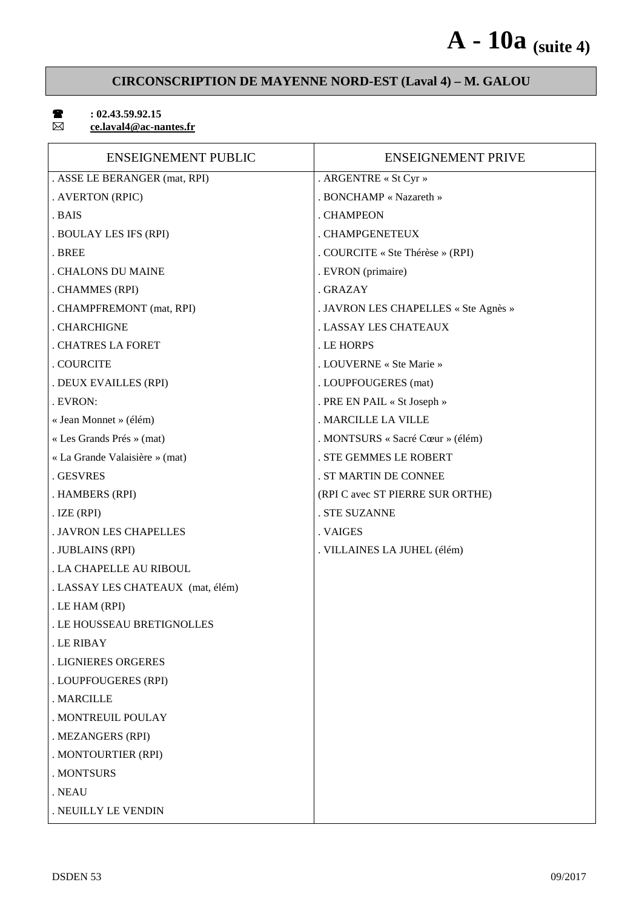# **A - 10a (suite 4)**

## **CIRCONSCRIPTION DE MAYENNE NORD-EST (Laval 4) – M. GALOU**

 $\boxtimes$ 

## $\bullet$  : 02.43.59.92.15

 **ce.laval4@ac-nantes.fr** 

| <b>ENSEIGNEMENT PUBLIC</b>        | <b>ENSEIGNEMENT PRIVE</b>            |
|-----------------------------------|--------------------------------------|
| . ASSE LE BERANGER (mat, RPI)     | . ARGENTRE « St Cyr »                |
| . AVERTON (RPIC)                  | . BONCHAMP « Nazareth »              |
| . BAIS                            | . CHAMPEON                           |
| . BOULAY LES IFS (RPI)            | . CHAMPGENETEUX                      |
| . BREE                            | . COURCITE « Ste Thérèse » (RPI)     |
| . CHALONS DU MAINE                | . EVRON (primaire)                   |
| . CHAMMES (RPI)                   | . GRAZAY                             |
| . CHAMPFREMONT (mat, RPI)         | . JAVRON LES CHAPELLES « Ste Agnès » |
| . CHARCHIGNE                      | . LASSAY LES CHATEAUX                |
| . CHATRES LA FORET                | . LE HORPS                           |
| . COURCITE                        | . LOUVERNE « Ste Marie »             |
| . DEUX EVAILLES (RPI)             | . LOUPFOUGERES (mat)                 |
| . EVRON:                          | . PRE EN PAIL « St Joseph »          |
| « Jean Monnet » (élém)            | . MARCILLE LA VILLE                  |
| « Les Grands Prés » (mat)         | . MONTSURS « Sacré Cœur » (élém)     |
| « La Grande Valaisière » (mat)    | . STE GEMMES LE ROBERT               |
| . GESVRES                         | . ST MARTIN DE CONNEE                |
| . HAMBERS (RPI)                   | (RPI C avec ST PIERRE SUR ORTHE)     |
| $LZE$ (RPI)                       | . STE SUZANNE                        |
| . JAVRON LES CHAPELLES            | . VAIGES                             |
| . JUBLAINS (RPI)                  | . VILLAINES LA JUHEL (élém)          |
| . LA CHAPELLE AU RIBOUL           |                                      |
| . LASSAY LES CHATEAUX (mat, élém) |                                      |
| . LE HAM (RPI)                    |                                      |
| . LE HOUSSEAU BRETIGNOLLES        |                                      |
| . LE RIBAY                        |                                      |
| . LIGNIERES ORGERES               |                                      |
| . LOUPFOUGERES (RPI)              |                                      |
| . MARCILLE                        |                                      |
| . MONTREUIL POULAY                |                                      |
| . MEZANGERS (RPI)                 |                                      |
| . MONTOURTIER (RPI)               |                                      |
| . MONTSURS                        |                                      |
| . NEAU                            |                                      |
| . NEUILLY LE VENDIN               |                                      |